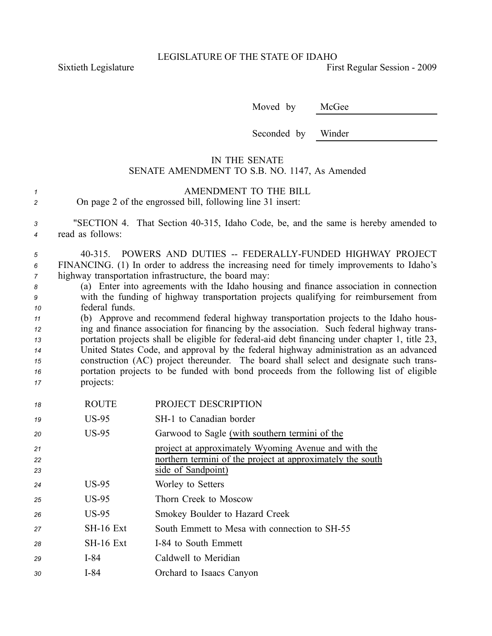LEGISLATURE OF THE STATE OF IDAHO

Sixtieth Legislature **First** Regular Session - 2009

Moved by McGee

Seconded by Winder

## IN THE SENATE SENATE AMENDMENT TO S.B. NO. 1147, As Amended

| AMENDMENT TO THE BILL                                      |
|------------------------------------------------------------|
| On page 2 of the engrossed bill, following line 31 insert: |

*<sup>3</sup>* "SECTION 4. That Section 40315, Idaho Code, be, and the same is hereby amended to *<sup>4</sup>* read as follows:

*<sup>5</sup>* 40315. POWERS AND DUTIES FEDERALLYFUNDED HIGHWAY PROJECT *<sup>6</sup>* FINANCING. (1) In order to address the increasing need for timely improvements to Idaho's *<sup>7</sup>* highway transportation infrastructure, the board may:

*<sup>8</sup>* (a) Enter into agreements with the Idaho housing and finance association in connection *<sup>9</sup>* with the funding of highway transportation projects qualifying for reimbursement from *<sup>10</sup>* federal funds.

 (b) Approve and recommend federal highway transportation projects to the Idaho hous- ing and finance association for financing by the association. Such federal highway trans- portation projects shall be eligible for federal-aid debt financing under chapter 1, title 23, United States Code, and approval by the federal highway administration as an advanced construction (AC) project thereunder. The board shall select and designate such trans- portation projects to be funded with bond proceeds from the following list of eligible projects:

| SH-1 to Canadian border<br>$US-95$<br>19<br>$US-95$<br>Garwood to Sagle (with southern termini of the<br>20<br>project at approximately Wyoming Avenue and with the<br>21 |  |
|---------------------------------------------------------------------------------------------------------------------------------------------------------------------------|--|
|                                                                                                                                                                           |  |
|                                                                                                                                                                           |  |
|                                                                                                                                                                           |  |
| northern termini of the project at approximately the south<br>22<br>side of Sandpoint)                                                                                    |  |
| 23                                                                                                                                                                        |  |
| $US-95$<br>Worley to Setters<br>24                                                                                                                                        |  |
| $US-95$<br>Thorn Creek to Moscow<br>25                                                                                                                                    |  |
| $US-95$<br>Smokey Boulder to Hazard Creek<br>26                                                                                                                           |  |
| SH-16 Ext<br>South Emmett to Mesa with connection to SH-55<br>27                                                                                                          |  |
| $SH-16$ Ext<br>I-84 to South Emmett<br>28                                                                                                                                 |  |
| Caldwell to Meridian<br>$I-84$<br>29                                                                                                                                      |  |
| $I-84$<br>Orchard to Isaacs Canyon<br>30                                                                                                                                  |  |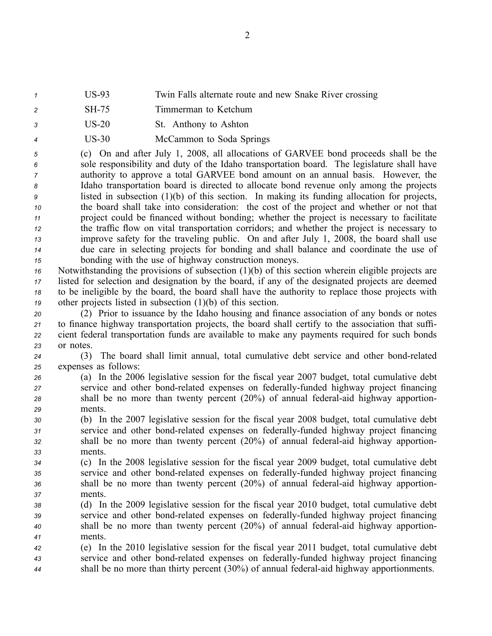- *<sup>1</sup>* US93 Twin Falls alternate route and new Snake River crossing
- *<sup>2</sup>* SH75 Timmerman to Ketchum
- *<sup>3</sup>* US20 St. Anthony to Ashton
- 4 US-30 McCammon to Soda Springs

 (c) On and after July 1, 2008, all allocations of GARVEE bond proceeds shall be the sole responsibility and duty of the Idaho transportation board. The legislature shall have authority to approve <sup>a</sup> total GARVEE bond amount on an annual basis. However, the Idaho transportation board is directed to allocate bond revenue only among the projects listed in subsection (1)(b) of this section. In making its funding allocation for projects, the board shall take into consideration: the cost of the project and whether or not that project could be financed without bonding; whether the project is necessary to facilitate the traffic flow on vital transportation corridors; and whether the project is necessary to improve safety for the traveling public. On and after July 1, 2008, the board shall use due care in selecting projects for bonding and shall balance and coordinate the use of bonding with the use of highway construction moneys.

 Notwithstanding the provisions of subsection (1)(b) of this section wherein eligible projects are listed for selection and designation by the board, if any of the designated projects are deemed to be ineligible by the board, the board shall have the authority to replace those projects with other projects listed in subsection (1)(b) of this section.

 (2) Prior to issuance by the Idaho housing and finance association of any bonds or notes to finance highway transportation projects, the board shall certify to the association that suffi- cient federal transportation funds are available to make any payments required for such bonds or notes.

*<sup>24</sup>* (3) The board shall limit annual, total cumulative debt service and other bondrelated *<sup>25</sup>* expenses as follows:

- *<sup>26</sup>* (a) In the 2006 legislative session for the fiscal year 2007 budget, total cumulative debt *27* service and other bond-related expenses on federally-funded highway project financing 28 shall be no more than twenty percent (20%) of annual federal-aid highway apportion-*29* ments.
- *<sup>30</sup>* (b) In the 2007 legislative session for the fiscal year 2008 budget, total cumulative debt *31* service and other bond-related expenses on federally-funded highway project financing *32* shall be no more than twenty percent (20%) of annual federal-aid highway apportion-*33* ments.
- *<sup>34</sup>* (c) In the 2008 legislative session for the fiscal year 2009 budget, total cumulative debt 35 service and other bond-related expenses on federally-funded highway project financing 36 shall be no more than twenty percent (20%) of annual federal-aid highway apportion-*37* ments.
- *<sup>38</sup>* (d) In the 2009 legislative session for the fiscal year 2010 budget, total cumulative debt *39* service and other bond-related expenses on federally-funded highway project financing *<sup>40</sup>* shall be no more than twenty percen<sup>t</sup> (20%) of annual federalaid highway apportion-*41* ments.
- *<sup>42</sup>* (e) In the 2010 legislative session for the fiscal year 2011 budget, total cumulative debt *43* service and other bond-related expenses on federally-funded highway project financing *<sup>44</sup>* shall be no more than thirty percen<sup>t</sup> (30%) of annual federalaid highway apportionments.